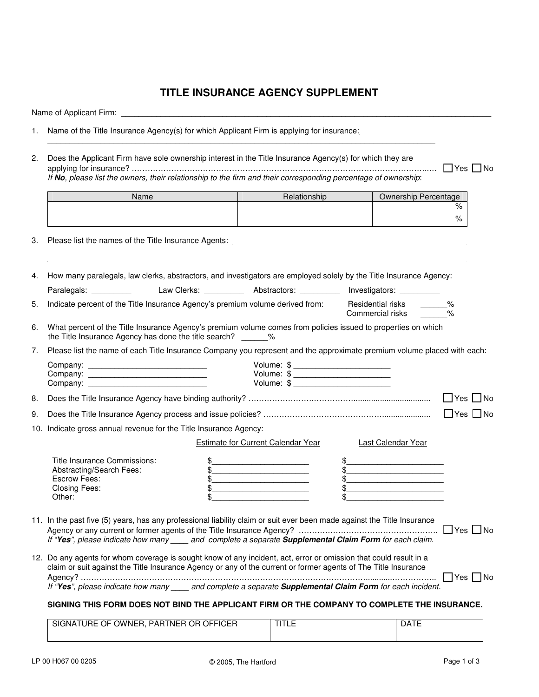## **TITLE INSURANCE AGENCY SUPPLEMENT**

Name of Applicant Firm:

- 1. Name of the Title Insurance Agency(s) for which Applicant Firm is applying for insurance:
- 2. Does the Applicant Firm have sole ownership interest in the Title Insurance Agency(s) for which they are applying for insurance? …………………………………………………………………………………………………..… Yes No *If No, please list the owners, their relationship to the firm and their corresponding percentage of ownership*:

\_\_\_\_\_\_\_\_\_\_\_\_\_\_\_\_\_\_\_\_\_\_\_\_\_\_\_\_\_\_\_\_\_\_\_\_\_\_\_\_\_\_\_\_\_\_\_\_\_\_\_\_\_\_\_\_\_\_\_\_\_\_\_\_\_\_\_\_\_\_\_\_\_\_\_\_\_\_\_\_\_\_\_\_\_\_\_\_

| Name | Relationship | Ownership Percentage |
|------|--------------|----------------------|
|      |              | %                    |
|      |              | %                    |

3. Please list the names of the Title Insurance Agents:

4. How many paralegals, law clerks, abstractors, and investigators are employed solely by the Title Insurance Agency:

| Paralegals:                                                                     | Law Clerks: | Abstractors: | Investigators:                        |   |
|---------------------------------------------------------------------------------|-------------|--------------|---------------------------------------|---|
| . Indicate percent of the Title Insurance Agency's premium volume derived from: |             |              | Residential risks<br>Commercial risks | % |

6. What percent of the Title Insurance Agency's premium volume comes from policies issued to properties on which the Title Insurance Agency has done the title search?  $\%$ 

|  | 7. Please list the name of each Title Insurance Company you represent and the approximate premium volume placed with each: |  |  |  |  |
|--|----------------------------------------------------------------------------------------------------------------------------|--|--|--|--|
|--|----------------------------------------------------------------------------------------------------------------------------|--|--|--|--|

|  | Volume: \$                                                                                                                                                                                                                                  |                      |
|--|---------------------------------------------------------------------------------------------------------------------------------------------------------------------------------------------------------------------------------------------|----------------------|
|  | Volume: \$<br>the control of the control of the control of the control of the control of the control of the control of the control of the control of the control of the control of the control of the control of the control of the control |                      |
|  | Volume: \$                                                                                                                                                                                                                                  |                      |
|  |                                                                                                                                                                                                                                             | $\Box$ Yes $\Box$ No |
|  |                                                                                                                                                                                                                                             | $\Box$ Yes $\Box$ No |

10. Indicate gross annual revenue for the Title Insurance Agency:

|                              | Estimate for Current Calendar Year | Last Calendar Year |
|------------------------------|------------------------------------|--------------------|
| Title Insurance Commissions: |                                    |                    |
| Abstracting/Search Fees:     |                                    |                    |
| Escrow Fees:                 |                                    |                    |
| <b>Closing Fees:</b>         |                                    |                    |
| Other:                       |                                    |                    |

11. In the past five (5) years, has any professional liability claim or suit ever been made against the Title Insurance Agency or any current or former agents of the Title Insurance Agency? ………………………………………………… □ Yes □ No *If "Yes", please indicate how many \_\_\_\_ and complete a separate Supplemental Claim Form for each claim.*

| 12. Do any agents for whom coverage is sought know of any incident, act, error or omission that could result in a |                      |  |
|-------------------------------------------------------------------------------------------------------------------|----------------------|--|
| claim or suit against the Title Insurance Agency or any of the current or former agents of The Title Insurance    |                      |  |
|                                                                                                                   | $\Box$ Yes $\Box$ No |  |
| If "Yes", please indicate how many<br>and complete a separate Supplemental Claim Form for each incident.          |                      |  |

## **SIGNING THIS FORM DOES NOT BIND THE APPLICANT FIRM OR THE COMPANY TO COMPLETE THE INSURANCE.**

| SIGNATURE OF OWNER, I<br>'. PARTNER OR OFFICER | பட⊵ | DATE |
|------------------------------------------------|-----|------|
|                                                |     |      |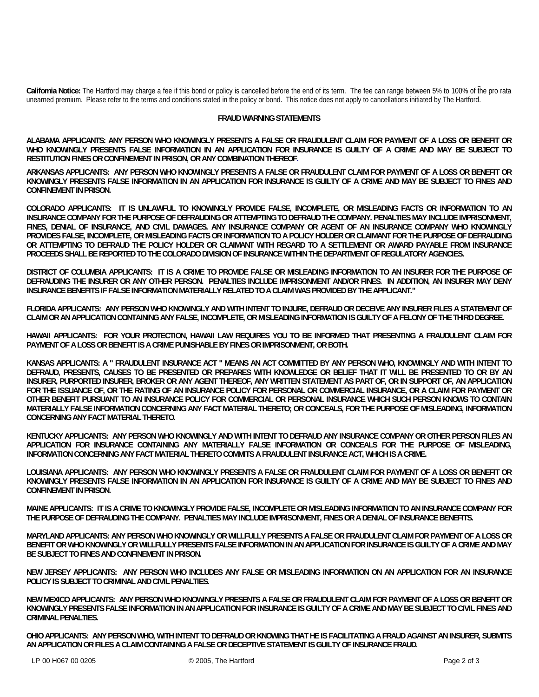**California Notice:** The Hartford may charge a fee if this bond or policy is cancelled before the end of its term. The fee can range between 5% to 100% of the pro rata unearned premium. Please refer to the terms and conditions stated in the policy or bond. This notice does not apply to cancellations initiated by The Hartford.

## **FRAUD WARNING STATEMENTS**

**ALABAMA APPLICANTS: ANY PERSON WHO KNOWINGLY PRESENTS A FALSE OR FRAUDULENT CLAIM FOR PAYMENT OF A LOSS OR BENEFIT OR WHO KNOWINGLY PRESENTS FALSE INFORMATION IN AN APPLICATION FOR INSURANCE IS GUILTY OF A CRIME AND MAY BE SUBJECT TO RESTITUTION FINES OR CONFINEMENT IN PRISON, OR ANY COMBINATION THEREOF.**

**ARKANSAS APPLICANTS: ANY PERSON WHO KNOWINGLY PRESENTS A FALSE OR FRAUDULENT CLAIM FOR PAYMENT OF A LOSS OR BENEFIT OR KNOWINGLY PRESENTS FALSE INFORMATION IN AN APPLICATION FOR INSURANCE IS GUILTY OF A CRIME AND MAY BE SUBJECT TO FINES AND CONFINEMENT IN PRISON.** 

**COLORADO APPLICANTS: IT IS UNLAWFUL TO KNOWINGLY PROVIDE FALSE, INCOMPLETE, OR MISLEADING FACTS OR INFORMATION TO AN INSURANCE COMPANY FOR THE PURPOSE OF DEFRAUDING OR ATTEMPTING TO DEFRAUD THE COMPANY. PENALTIES MAY INCLUDE IMPRISONMENT, FINES, DENIAL OF INSURANCE, AND CIVIL DAMAGES. ANY INSURANCE COMPANY OR AGENT OF AN INSURANCE COMPANY WHO KNOWINGLY PROVIDES FALSE, INCOMPLETE, OR MISLEADING FACTS OR INFORMATION TO A POLICY HOLDER OR CLAIMANT FOR THE PURPOSE OF DEFRAUDING OR ATTEMPTING TO DEFRAUD THE POLICY HOLDER OR CLAIMANT WITH REGARD TO A SETTLEMENT OR AWARD PAYABLE FROM INSURANCE PROCEEDS SHALL BE REPORTED TO THE COLORADO DIVISION OF INSURANCE WITHIN THE DEPARTMENT OF REGULATORY AGENCIES.** 

**DISTRICT OF COLUMBIA APPLICANTS: IT IS A CRIME TO PROVIDE FALSE OR MISLEADING INFORMATION TO AN INSURER FOR THE PURPOSE OF DEFRAUDING THE INSURER OR ANY OTHER PERSON. PENALTIES INCLUDE IMPRISONMENT AND/OR FINES. IN ADDITION, AN INSURER MAY DENY INSURANCE BENEFITS IF FALSE INFORMATION MATERIALLY RELATED TO A CLAIM WAS PROVIDED BY THE APPLICANT."** 

**FLORIDA APPLICANTS: ANY PERSON WHO KNOWINGLY AND WITH INTENT TO INJURE, DEFRAUD OR DECEIVE ANY INSURER FILES A STATEMENT OF CLAIM OR AN APPLICATION CONTAINING ANY FALSE, INCOMPLETE, OR MISLEADING INFORMATION IS GUILTY OF A FELONY OF THE THIRD DEGREE.** 

**HAWAII APPLICANTS: FOR YOUR PROTECTION, HAWAII LAW REQUIRES YOU TO BE INFORMED THAT PRESENTING A FRAUDULENT CLAIM FOR PAYMENT OF A LOSS OR BENEFIT IS A CRIME PUNISHABLE BY FINES OR IMPRISONMENT, OR BOTH.** 

**KANSAS APPLICANTS: A " FRAUDULENT INSURANCE ACT " MEANS AN ACT COMMITTED BY ANY PERSON WHO, KNOWINGLY AND WITH INTENT TO DEFRAUD, PRESENTS, CAUSES TO BE PRESENTED OR PREPARES WITH KNOWLEDGE OR BELIEF THAT IT WILL BE PRESENTED TO OR BY AN INSURER, PURPORTED INSURER, BROKER OR ANY AGENT THEREOF, ANY WRITTEN STATEMENT AS PART OF, OR IN SUPPORT OF, AN APPLICATION FOR THE ISSUANCE OF, OR THE RATING OF AN INSURANCE POLICY FOR PERSONAL OR COMMERCIAL INSURANCE, OR A CLAIM FOR PAYMENT OR OTHER BENEFIT PURSUANT TO AN INSURANCE POLICY FOR COMMERCIAL OR PERSONAL INSURANCE WHICH SUCH PERSON KNOWS TO CONTAIN MATERIALLY FALSE INFORMATION CONCERNING ANY FACT MATERIAL THERETO; OR CONCEALS, FOR THE PURPOSE OF MISLEADING, INFORMATION CONCERNING ANY FACT MATERIAL THERETO.** 

**KENTUCKY APPLICANTS: ANY PERSON WHO KNOWINGLY AND WITH INTENT TO DEFRAUD ANY INSURANCE COMPANY OR OTHER PERSON FILES AN APPLICATION FOR INSURANCE CONTAINING ANY MATERIALLY FALSE INFORMATION OR CONCEALS FOR THE PURPOSE OF MISLEADING, INFORMATION CONCERNING ANY FACT MATERIAL THERETO COMMITS A FRAUDULENT INSURANCE ACT, WHICH IS A CRIME.** 

**LOUISIANA APPLICANTS: ANY PERSON WHO KNOWINGLY PRESENTS A FALSE OR FRAUDULENT CLAIM FOR PAYMENT OF A LOSS OR BENEFIT OR KNOWINGLY PRESENTS FALSE INFORMATION IN AN APPLICATION FOR INSURANCE IS GUILTY OF A CRIME AND MAY BE SUBJECT TO FINES AND CONFINEMENT IN PRISON.** 

**MAINE APPLICANTS: IT IS A CRIME TO KNOWINGLY PROVIDE FALSE, INCOMPLETE OR MISLEADING INFORMATION TO AN INSURANCE COMPANY FOR THE PURPOSE OF DEFRAUDING THE COMPANY. PENALTIES MAY INCLUDE IMPRISONMENT, FINES OR A DENIAL OF INSURANCE BENEFITS.** 

**MARYLAND APPLICANTS: ANY PERSON WHO KNOWINGLY OR WILLFULLY PRESENTS A FALSE OR FRAUDULENT CLAIM FOR PAYMENT OF A LOSS OR BENEFIT OR WHO KNOWINGLY OR WILLFULLY PRESENTS FALSE INFORMATION IN AN APPLICATION FOR INSURANCE IS GUILTY OF A CRIME AND MAY BE SUBJECT TO FINES AND CONFINEMENT IN PRISON.** 

**NEW JERSEY APPLICANTS: ANY PERSON WHO INCLUDES ANY FALSE OR MISLEADING INFORMATION ON AN APPLICATION FOR AN INSURANCE POLICY IS SUBJECT TO CRIMINAL AND CIVIL PENALTIES.** 

**NEW MEXICO APPLICANTS: ANY PERSON WHO KNOWINGLY PRESENTS A FALSE OR FRAUDULENT CLAIM FOR PAYMENT OF A LOSS OR BENEFIT OR KNOWINGLY PRESENTS FALSE INFORMATION IN AN APPLICATION FOR INSURANCE IS GUILTY OF A CRIME AND MAY BE SUBJECT TO CIVIL FINES AND CRIMINAL PENALTIES.** 

**OHIO APPLICANTS: ANY PERSON WHO, WITH INTENT TO DEFRAUD OR KNOWING THAT HE IS FACILITATING A FRAUD AGAINST AN INSURER, SUBMITS AN APPLICATION OR FILES A CLAIM CONTAINING A FALSE OR DECEPTIVE STATEMENT IS GUILTY OF INSURANCE FRAUD.**